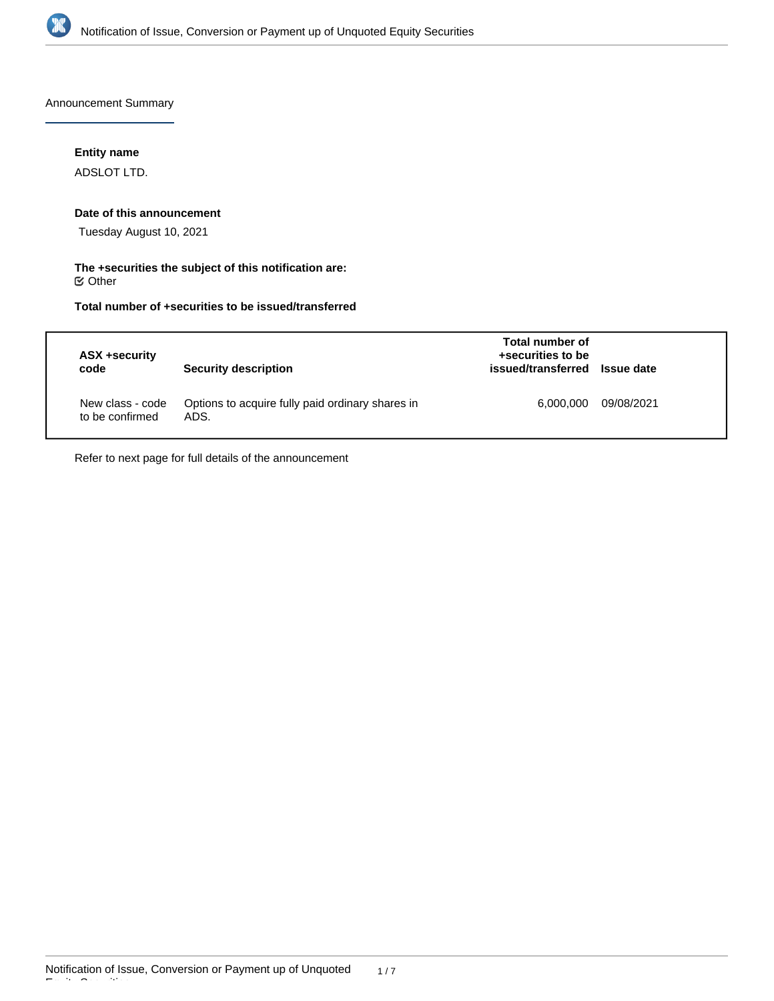

Announcement Summary

## **Entity name**

ADSLOT LTD.

### **Date of this announcement**

Tuesday August 10, 2021

## **The +securities the subject of this notification are:**  $\mathfrak S$  Other

# **Total number of +securities to be issued/transferred**

| ASX +security<br>code               | <b>Security description</b>                              | Total number of<br>+securities to be<br>issued/transferred Issue date |            |
|-------------------------------------|----------------------------------------------------------|-----------------------------------------------------------------------|------------|
| New class - code<br>to be confirmed | Options to acquire fully paid ordinary shares in<br>ADS. | 6.000.000                                                             | 09/08/2021 |

Refer to next page for full details of the announcement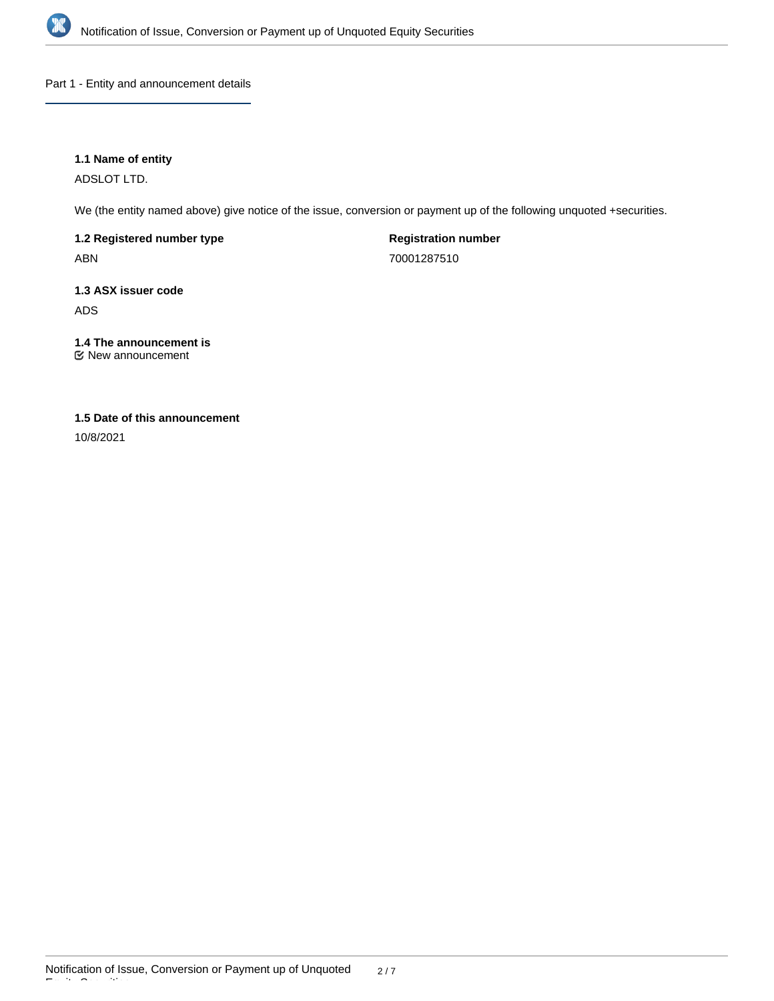

Part 1 - Entity and announcement details

## **1.1 Name of entity**

ADSLOT LTD.

We (the entity named above) give notice of the issue, conversion or payment up of the following unquoted +securities.

**1.2 Registered number type** ABN

**Registration number** 70001287510

**1.3 ASX issuer code** ADS

**1.4 The announcement is** New announcement

# **1.5 Date of this announcement**

10/8/2021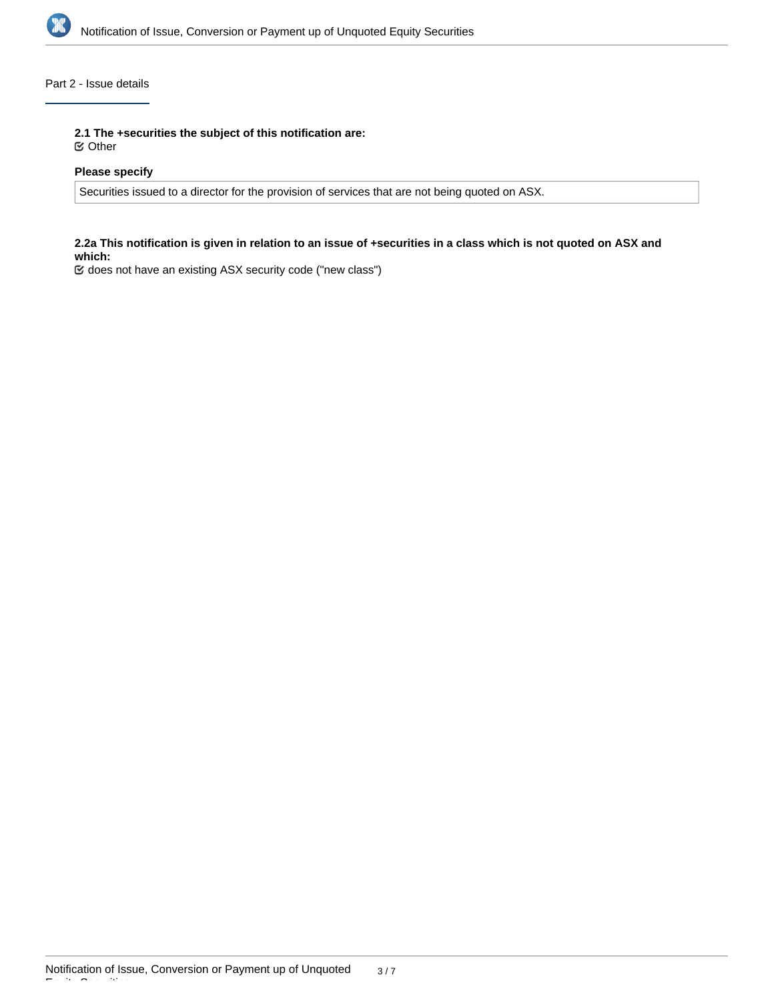

## Part 2 - Issue details

**2.1 The +securities the subject of this notification are:**

Other

## **Please specify**

Securities issued to a director for the provision of services that are not being quoted on ASX.

## **2.2a This notification is given in relation to an issue of +securities in a class which is not quoted on ASX and which:**

does not have an existing ASX security code ("new class")

Equity Securities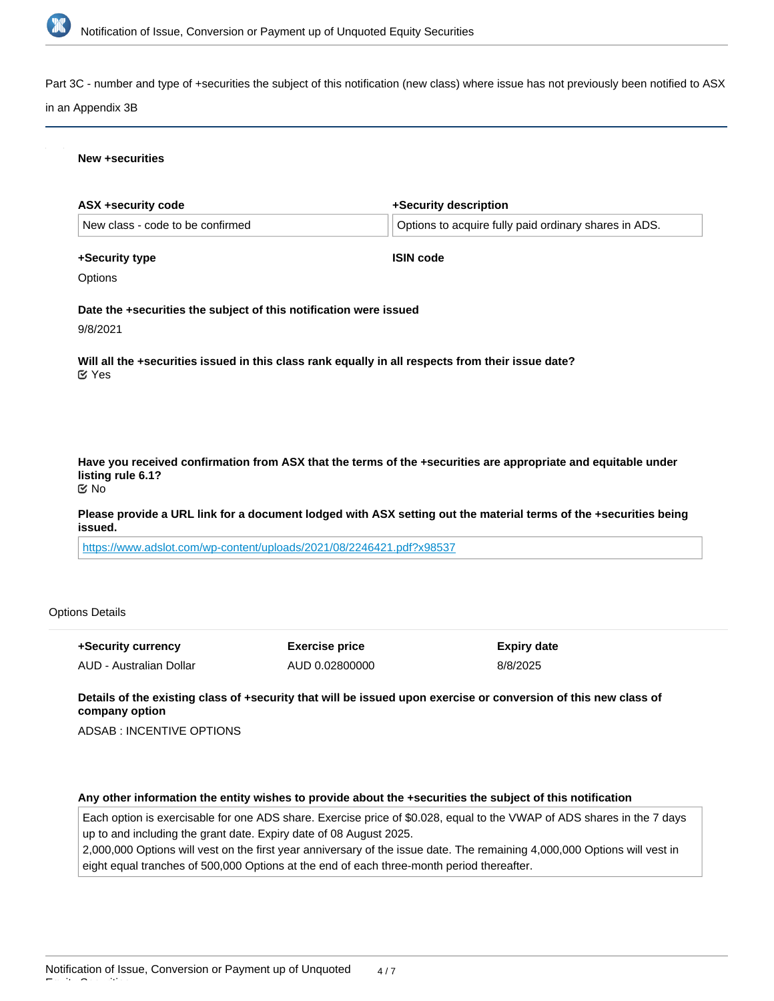

Part 3C - number and type of +securities the subject of this notification (new class) where issue has not previously been notified to ASX

#### in an Appendix 3B

#### **New +securities**

| ASX +security code                                                            | +Security description                                                                                         |
|-------------------------------------------------------------------------------|---------------------------------------------------------------------------------------------------------------|
| New class - code to be confirmed                                              | Options to acquire fully paid ordinary shares in ADS.                                                         |
| +Security type                                                                | <b>ISIN code</b>                                                                                              |
| Options                                                                       |                                                                                                               |
| Date the +securities the subject of this notification were issued<br>9/8/2021 |                                                                                                               |
| $\mathfrak{C}$ Yes                                                            | Will all the +securities issued in this class rank equally in all respects from their issue date?             |
|                                                                               |                                                                                                               |
|                                                                               |                                                                                                               |
| listing rule 6.1?<br><b>Mo</b>                                                | Have you received confirmation from ASX that the terms of the +securities are appropriate and equitable under |

**Please provide a URL link for a document lodged with ASX setting out the material terms of the +securities being issued.**

<https://www.adslot.com/wp-content/uploads/2021/08/2246421.pdf?x98537>

### Options Details

Equity Securities

| +Security currency      | <b>Exercise price</b> | Expiry date |
|-------------------------|-----------------------|-------------|
| AUD - Australian Dollar | AUD 0.02800000        | 8/8/2025    |

**Details of the existing class of +security that will be issued upon exercise or conversion of this new class of company option**

ADSAB : INCENTIVE OPTIONS

### **Any other information the entity wishes to provide about the +securities the subject of this notification**

Each option is exercisable for one ADS share. Exercise price of \$0.028, equal to the VWAP of ADS shares in the 7 days up to and including the grant date. Expiry date of 08 August 2025.

2,000,000 Options will vest on the first year anniversary of the issue date. The remaining 4,000,000 Options will vest in eight equal tranches of 500,000 Options at the end of each three-month period thereafter.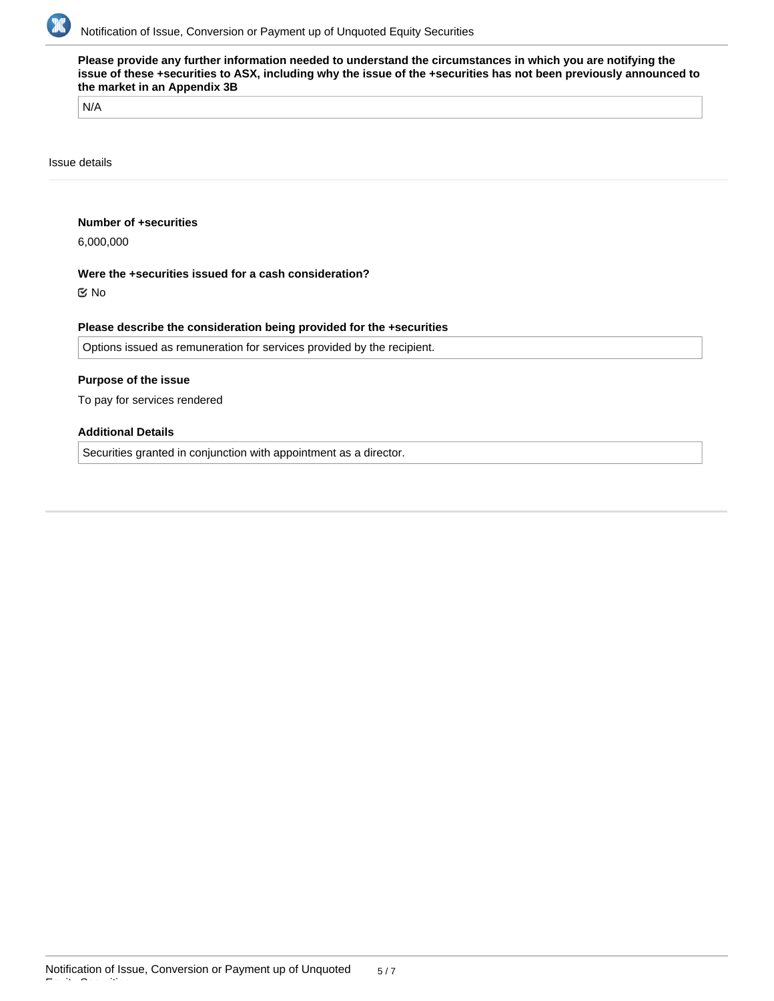

**Please provide any further information needed to understand the circumstances in which you are notifying the issue of these +securities to ASX, including why the issue of the +securities has not been previously announced to the market in an Appendix 3B**

N/A

Issue details

## **Number of +securities**

6,000,000

## **Were the +securities issued for a cash consideration?**

No

### **Please describe the consideration being provided for the +securities**

Options issued as remuneration for services provided by the recipient.

### **Purpose of the issue**

To pay for services rendered

## **Additional Details**

Securities granted in conjunction with appointment as a director.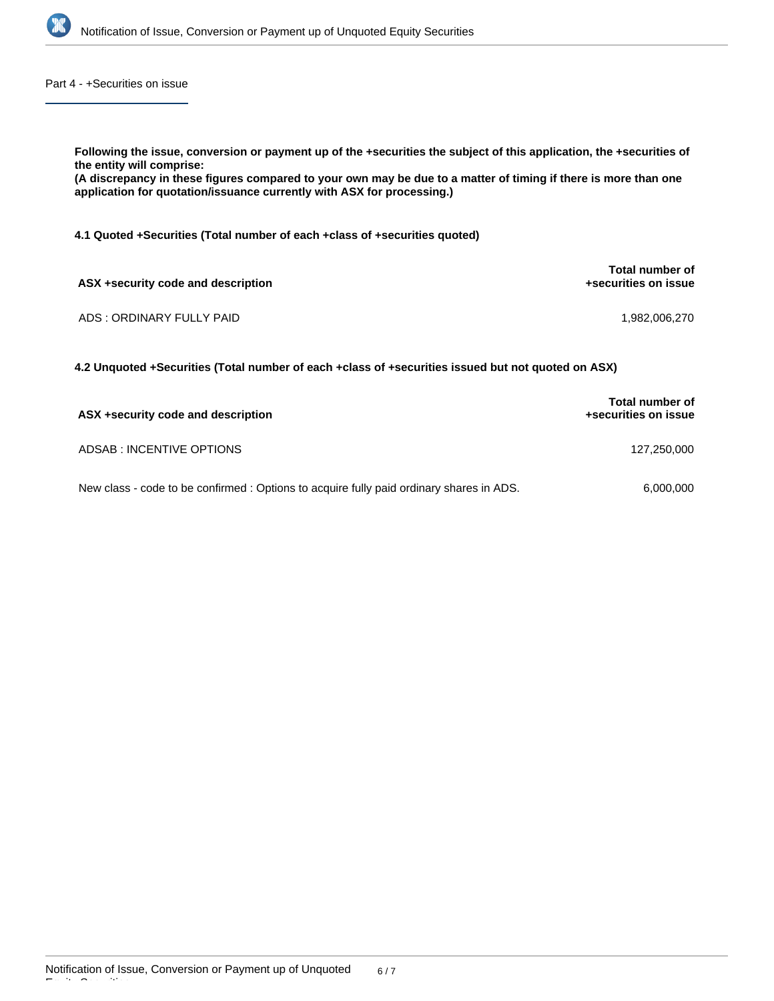

Part 4 - +Securities on issue

| Following the issue, conversion or payment up of the +securities the subject of this application, the +securities of<br>the entity will comprise:<br>(A discrepancy in these figures compared to your own may be due to a matter of timing if there is more than one<br>application for quotation/issuance currently with ASX for processing.) |                                         |  |  |
|------------------------------------------------------------------------------------------------------------------------------------------------------------------------------------------------------------------------------------------------------------------------------------------------------------------------------------------------|-----------------------------------------|--|--|
| 4.1 Quoted +Securities (Total number of each +class of +securities quoted)                                                                                                                                                                                                                                                                     |                                         |  |  |
| ASX +security code and description                                                                                                                                                                                                                                                                                                             | Total number of<br>+securities on issue |  |  |
| ADS: ORDINARY FULLY PAID                                                                                                                                                                                                                                                                                                                       | 1.982.006.270                           |  |  |
| 4.2 Unquoted +Securities (Total number of each +class of +securities issued but not quoted on ASX)                                                                                                                                                                                                                                             |                                         |  |  |

| ASX +security code and description                                                       | <b>Total number of</b><br>+securities on issue |  |
|------------------------------------------------------------------------------------------|------------------------------------------------|--|
| ADSAB : INCENTIVE OPTIONS                                                                | 127.250.000                                    |  |
| New class - code to be confirmed : Options to acquire fully paid ordinary shares in ADS. | 6,000,000                                      |  |

Equity Securities